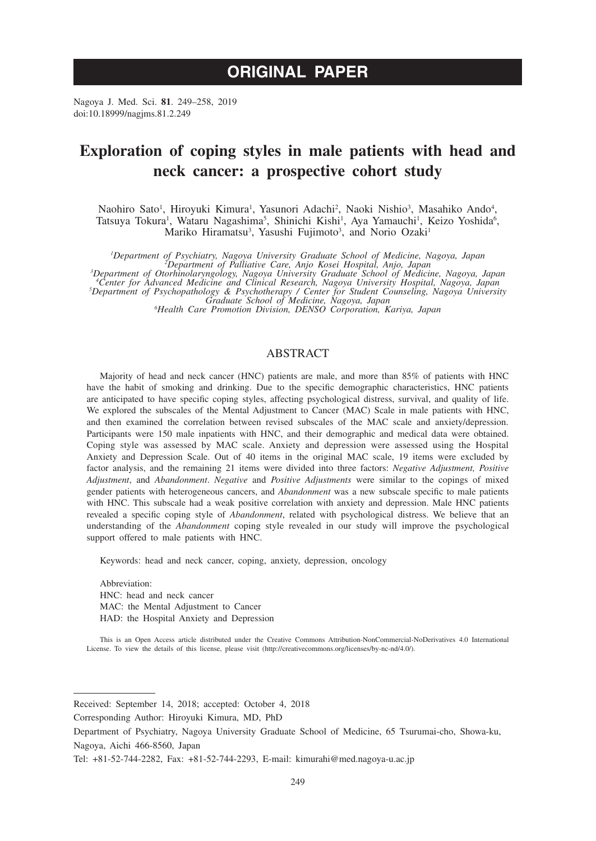# **ORIGINAL PAPER**

Nagoya J. Med. Sci. **81**. 249–258, 2019 doi:10.18999/nagjms.81.2.249

# **Exploration of coping styles in male patients with head and neck cancer: a prospective cohort study**

Naohiro Sato<sup>1</sup>, Hiroyuki Kimura<sup>1</sup>, Yasunori Adachi<sup>2</sup>, Naoki Nishio<sup>3</sup>, Masahiko Ando<sup>4</sup>, Tatsuya Tokura<sup>1</sup>, Wataru Nagashima<sup>5</sup>, Shinichi Kishi<sup>1</sup>, Aya Yamauchi<sup>1</sup>, Keizo Yoshida<sup>6</sup>, Mariko Hiramatsu<sup>3</sup>, Yasushi Fujimoto<sup>3</sup>, and Norio Ozaki<sup>1</sup>

<sup>1</sup>Department of Psychiatry, Nagoya University Graduate School of Medicine, Nagoya, Japan<br><sup>3</sup>Department of Otorhinolaryngology, Nagoya University Graduate School of Medicine, Nagoya, Japan<br><sup>3</sup>Department of Otorhinolaryngol

Department of Psychopathology & Psychotherapy / Center for Student Counseling, Nagoya University<br>Graduate School of Medicine, Nagoya, Japan<br><sup>6</sup>Health Care Promotion Division, DENSO Corporation, Kariya, Japan

# ABSTRACT

Majority of head and neck cancer (HNC) patients are male, and more than 85% of patients with HNC have the habit of smoking and drinking. Due to the specific demographic characteristics, HNC patients are anticipated to have specific coping styles, affecting psychological distress, survival, and quality of life. We explored the subscales of the Mental Adjustment to Cancer (MAC) Scale in male patients with HNC, and then examined the correlation between revised subscales of the MAC scale and anxiety/depression. Participants were 150 male inpatients with HNC, and their demographic and medical data were obtained. Coping style was assessed by MAC scale. Anxiety and depression were assessed using the Hospital Anxiety and Depression Scale. Out of 40 items in the original MAC scale, 19 items were excluded by factor analysis, and the remaining 21 items were divided into three factors: *Negative Adjustment, Positive Adjustment*, and *Abandonment*. *Negative* and *Positive Adjustments* were similar to the copings of mixed gender patients with heterogeneous cancers, and *Abandonment* was a new subscale specific to male patients with HNC. This subscale had a weak positive correlation with anxiety and depression. Male HNC patients revealed a specific coping style of *Abandonment*, related with psychological distress. We believe that an understanding of the *Abandonment* coping style revealed in our study will improve the psychological support offered to male patients with HNC.

Keywords: head and neck cancer, coping, anxiety, depression, oncology

Abbreviation: HNC: head and neck cancer MAC: the Mental Adjustment to Cancer HAD: the Hospital Anxiety and Depression

This is an Open Access article distributed under the Creative Commons Attribution-NonCommercial-NoDerivatives 4.0 International License. To view the details of this license, please visit (http://creativecommons.org/licenses/by-nc-nd/4.0/).

Received: September 14, 2018; accepted: October 4, 2018

Corresponding Author: Hiroyuki Kimura, MD, PhD

Department of Psychiatry, Nagoya University Graduate School of Medicine, 65 Tsurumai-cho, Showa-ku, Nagoya, Aichi 466-8560, Japan

Tel: +81-52-744-2282, Fax: +81-52-744-2293, E-mail: kimurahi@med.nagoya-u.ac.jp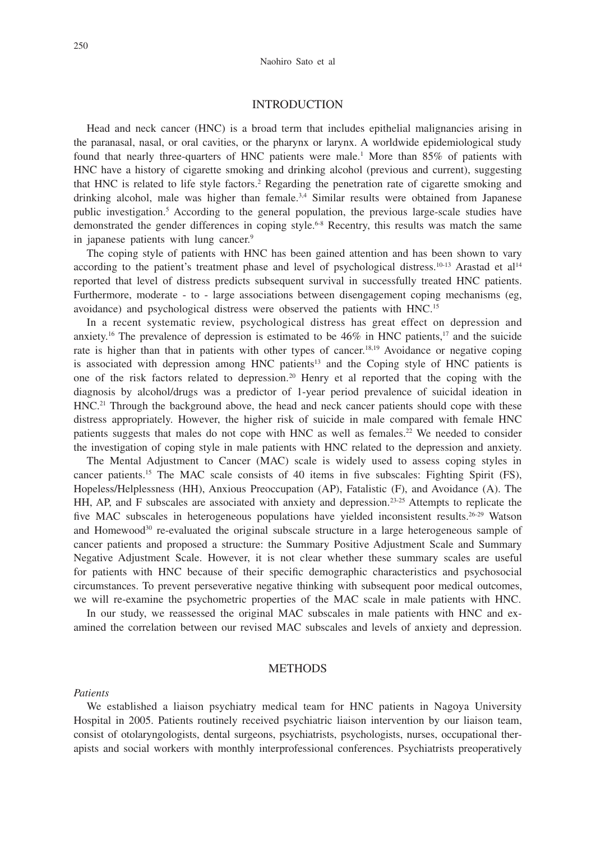## INTRODUCTION

Head and neck cancer (HNC) is a broad term that includes epithelial malignancies arising in the paranasal, nasal, or oral cavities, or the pharynx or larynx. A worldwide epidemiological study found that nearly three-quarters of HNC patients were male.<sup>1</sup> More than 85% of patients with HNC have a history of cigarette smoking and drinking alcohol (previous and current), suggesting that HNC is related to life style factors.<sup>2</sup> Regarding the penetration rate of cigarette smoking and drinking alcohol, male was higher than female.<sup>3,4</sup> Similar results were obtained from Japanese public investigation.5 According to the general population, the previous large-scale studies have demonstrated the gender differences in coping style.<sup>6-8</sup> Recentry, this results was match the same in japanese patients with lung cancer.<sup>9</sup>

The coping style of patients with HNC has been gained attention and has been shown to vary according to the patient's treatment phase and level of psychological distress.<sup>10-13</sup> Arastad et al<sup>14</sup> reported that level of distress predicts subsequent survival in successfully treated HNC patients. Furthermore, moderate - to - large associations between disengagement coping mechanisms (eg, avoidance) and psychological distress were observed the patients with HNC.15

In a recent systematic review, psychological distress has great effect on depression and anxiety.<sup>16</sup> The prevalence of depression is estimated to be  $46\%$  in HNC patients,<sup>17</sup> and the suicide rate is higher than that in patients with other types of cancer.<sup>18,19</sup> Avoidance or negative coping is associated with depression among HNC patients<sup>13</sup> and the Coping style of HNC patients is one of the risk factors related to depression.20 Henry et al reported that the coping with the diagnosis by alcohol/drugs was a predictor of 1-year period prevalence of suicidal ideation in  $HNC<sup>21</sup>$  Through the background above, the head and neck cancer patients should cope with these distress appropriately. However, the higher risk of suicide in male compared with female HNC patients suggests that males do not cope with HNC as well as females.<sup>22</sup> We needed to consider the investigation of coping style in male patients with HNC related to the depression and anxiety.

The Mental Adjustment to Cancer (MAC) scale is widely used to assess coping styles in cancer patients.15 The MAC scale consists of 40 items in five subscales: Fighting Spirit (FS), Hopeless/Helplessness (HH), Anxious Preoccupation (AP), Fatalistic (F), and Avoidance (A). The HH, AP, and F subscales are associated with anxiety and depression.23-25 Attempts to replicate the five MAC subscales in heterogeneous populations have yielded inconsistent results.<sup>26-29</sup> Watson and Homewood<sup>30</sup> re-evaluated the original subscale structure in a large heterogeneous sample of cancer patients and proposed a structure: the Summary Positive Adjustment Scale and Summary Negative Adjustment Scale. However, it is not clear whether these summary scales are useful for patients with HNC because of their specific demographic characteristics and psychosocial circumstances. To prevent perseverative negative thinking with subsequent poor medical outcomes, we will re-examine the psychometric properties of the MAC scale in male patients with HNC.

In our study, we reassessed the original MAC subscales in male patients with HNC and examined the correlation between our revised MAC subscales and levels of anxiety and depression.

### **METHODS**

#### *Patients*

We established a liaison psychiatry medical team for HNC patients in Nagoya University Hospital in 2005. Patients routinely received psychiatric liaison intervention by our liaison team, consist of otolaryngologists, dental surgeons, psychiatrists, psychologists, nurses, occupational therapists and social workers with monthly interprofessional conferences. Psychiatrists preoperatively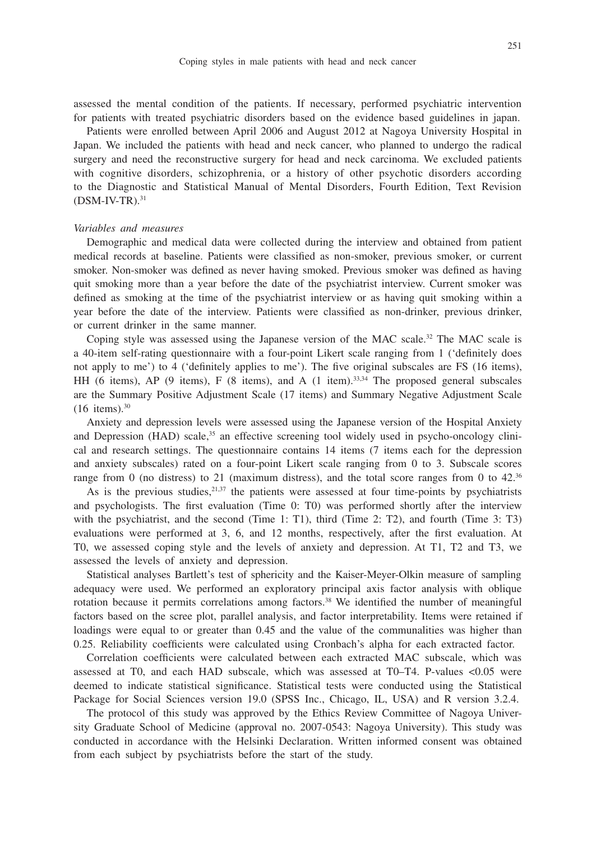assessed the mental condition of the patients. If necessary, performed psychiatric intervention for patients with treated psychiatric disorders based on the evidence based guidelines in japan.

Patients were enrolled between April 2006 and August 2012 at Nagoya University Hospital in Japan. We included the patients with head and neck cancer, who planned to undergo the radical surgery and need the reconstructive surgery for head and neck carcinoma. We excluded patients with cognitive disorders, schizophrenia, or a history of other psychotic disorders according to the Diagnostic and Statistical Manual of Mental Disorders, Fourth Edition, Text Revision  $(DSM-IV-TR).$ <sup>31</sup>

#### *Variables and measures*

Demographic and medical data were collected during the interview and obtained from patient medical records at baseline. Patients were classified as non-smoker, previous smoker, or current smoker. Non-smoker was defined as never having smoked. Previous smoker was defined as having quit smoking more than a year before the date of the psychiatrist interview. Current smoker was defined as smoking at the time of the psychiatrist interview or as having quit smoking within a year before the date of the interview. Patients were classified as non-drinker, previous drinker, or current drinker in the same manner.

Coping style was assessed using the Japanese version of the MAC scale.32 The MAC scale is a 40-item self-rating questionnaire with a four-point Likert scale ranging from 1 ('definitely does not apply to me') to 4 ('definitely applies to me'). The five original subscales are FS (16 items), HH (6 items), AP (9 items), F (8 items), and A (1 item). $33,34$  The proposed general subscales are the Summary Positive Adjustment Scale (17 items) and Summary Negative Adjustment Scale  $(16$  items).<sup>30</sup>

Anxiety and depression levels were assessed using the Japanese version of the Hospital Anxiety and Depression  $(HAD)$  scale, $35$  an effective screening tool widely used in psycho-oncology clinical and research settings. The questionnaire contains 14 items (7 items each for the depression and anxiety subscales) rated on a four-point Likert scale ranging from 0 to 3. Subscale scores range from 0 (no distress) to 21 (maximum distress), and the total score ranges from 0 to  $42.^{36}$ 

As is the previous studies,  $2^{1,37}$  the patients were assessed at four time-points by psychiatrists and psychologists. The first evaluation (Time 0: T0) was performed shortly after the interview with the psychiatrist, and the second (Time 1: T1), third (Time 2: T2), and fourth (Time 3: T3) evaluations were performed at 3, 6, and 12 months, respectively, after the first evaluation. At T0, we assessed coping style and the levels of anxiety and depression. At T1, T2 and T3, we assessed the levels of anxiety and depression.

Statistical analyses Bartlett's test of sphericity and the Kaiser-Meyer-Olkin measure of sampling adequacy were used. We performed an exploratory principal axis factor analysis with oblique rotation because it permits correlations among factors.<sup>38</sup> We identified the number of meaningful factors based on the scree plot, parallel analysis, and factor interpretability. Items were retained if loadings were equal to or greater than 0.45 and the value of the communalities was higher than 0.25. Reliability coefficients were calculated using Cronbach's alpha for each extracted factor.

Correlation coefficients were calculated between each extracted MAC subscale, which was assessed at T0, and each HAD subscale, which was assessed at T0–T4. P-values <0.05 were deemed to indicate statistical significance. Statistical tests were conducted using the Statistical Package for Social Sciences version 19.0 (SPSS Inc., Chicago, IL, USA) and R version 3.2.4.

The protocol of this study was approved by the Ethics Review Committee of Nagoya University Graduate School of Medicine (approval no. 2007-0543: Nagoya University). This study was conducted in accordance with the Helsinki Declaration. Written informed consent was obtained from each subject by psychiatrists before the start of the study.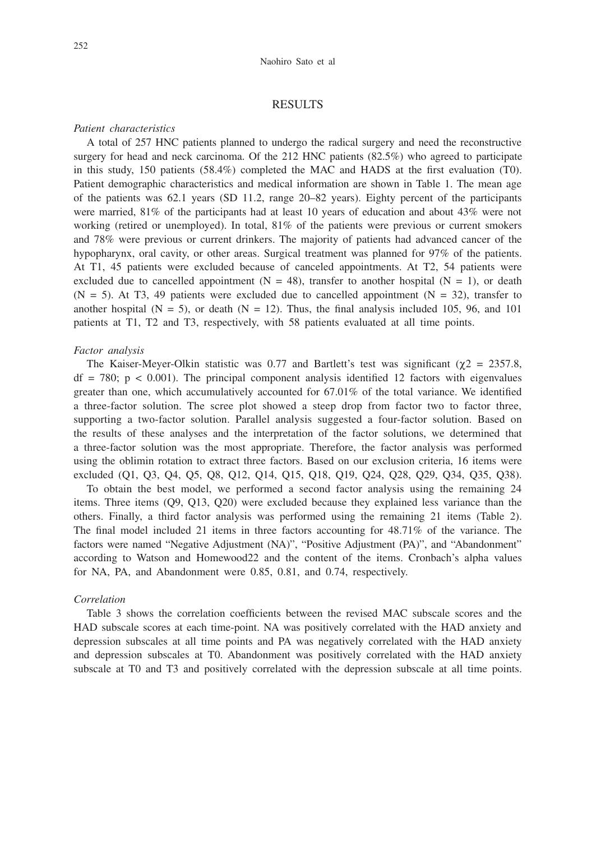## RESULTS

## *Patient characteristics*

A total of 257 HNC patients planned to undergo the radical surgery and need the reconstructive surgery for head and neck carcinoma. Of the 212 HNC patients (82.5%) who agreed to participate in this study, 150 patients (58.4%) completed the MAC and HADS at the first evaluation (T0). Patient demographic characteristics and medical information are shown in Table 1. The mean age of the patients was 62.1 years (SD 11.2, range 20–82 years). Eighty percent of the participants were married, 81% of the participants had at least 10 years of education and about 43% were not working (retired or unemployed). In total, 81% of the patients were previous or current smokers and 78% were previous or current drinkers. The majority of patients had advanced cancer of the hypopharynx, oral cavity, or other areas. Surgical treatment was planned for 97% of the patients. At T1, 45 patients were excluded because of canceled appointments. At T2, 54 patients were excluded due to cancelled appointment ( $N = 48$ ), transfer to another hospital ( $N = 1$ ), or death  $(N = 5)$ . At T3, 49 patients were excluded due to cancelled appointment  $(N = 32)$ , transfer to another hospital ( $N = 5$ ), or death ( $N = 12$ ). Thus, the final analysis included 105, 96, and 101 patients at T1, T2 and T3, respectively, with 58 patients evaluated at all time points.

#### *Factor analysis*

The Kaiser-Meyer-Olkin statistic was 0.77 and Bartlett's test was significant ( $\gamma$ 2 = 2357.8,  $df = 780$ ;  $p < 0.001$ ). The principal component analysis identified 12 factors with eigenvalues greater than one, which accumulatively accounted for 67.01% of the total variance. We identified a three-factor solution. The scree plot showed a steep drop from factor two to factor three, supporting a two-factor solution. Parallel analysis suggested a four-factor solution. Based on the results of these analyses and the interpretation of the factor solutions, we determined that a three-factor solution was the most appropriate. Therefore, the factor analysis was performed using the oblimin rotation to extract three factors. Based on our exclusion criteria, 16 items were excluded (Q1, Q3, Q4, Q5, Q8, Q12, Q14, Q15, Q18, Q19, Q24, Q28, Q29, Q34, Q35, Q38). To obtain the best model, we performed a second factor analysis using the remaining 24

items. Three items (Q9, Q13, Q20) were excluded because they explained less variance than the others. Finally, a third factor analysis was performed using the remaining 21 items (Table 2). The final model included 21 items in three factors accounting for 48.71% of the variance. The factors were named "Negative Adjustment (NA)", "Positive Adjustment (PA)", and "Abandonment" according to Watson and Homewood22 and the content of the items. Cronbach's alpha values for NA, PA, and Abandonment were 0.85, 0.81, and 0.74, respectively.

#### *Correlation*

Table 3 shows the correlation coefficients between the revised MAC subscale scores and the HAD subscale scores at each time-point. NA was positively correlated with the HAD anxiety and depression subscales at all time points and PA was negatively correlated with the HAD anxiety and depression subscales at T0. Abandonment was positively correlated with the HAD anxiety subscale at T0 and T3 and positively correlated with the depression subscale at all time points.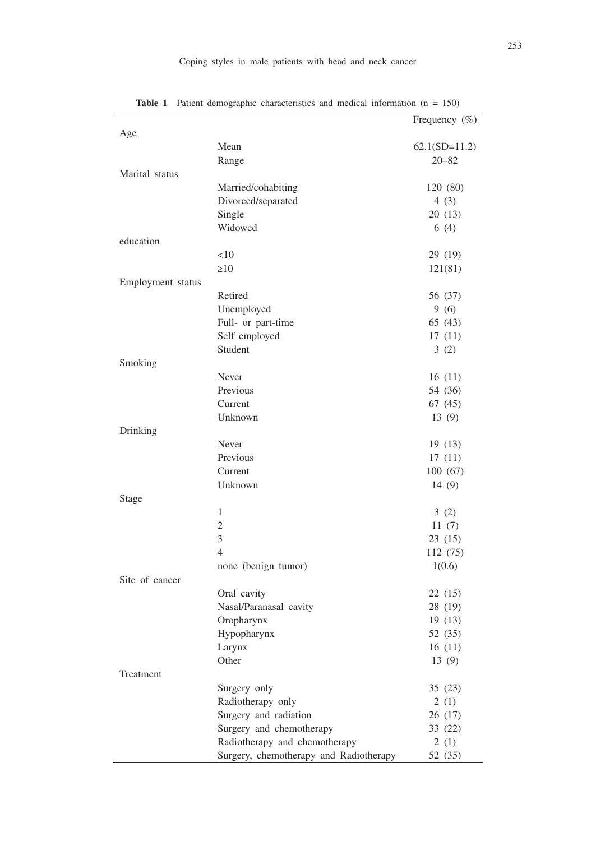|                   |                                        | Frequency $(\%)$ |
|-------------------|----------------------------------------|------------------|
| Age               |                                        |                  |
|                   | Mean                                   | $62.1(SD=11.2)$  |
|                   | Range                                  | $20 - 82$        |
| Marital status    |                                        |                  |
|                   | Married/cohabiting                     | 120 (80)         |
|                   | Divorced/separated                     | 4(3)             |
|                   | Single                                 | 20 (13)          |
|                   | Widowed                                | 6(4)             |
| education         |                                        |                  |
|                   | <10                                    | 29 (19)          |
|                   | $\geq 10$                              | 121(81)          |
| Employment status |                                        |                  |
|                   | Retired                                | 56 (37)          |
|                   | Unemployed                             | 9(6)             |
|                   | Full- or part-time                     | 65 (43)          |
|                   | Self employed                          | 17(11)           |
|                   | Student                                | 3(2)             |
| Smoking           |                                        |                  |
|                   | Never                                  | 16(11)           |
|                   | Previous                               | 54 (36)          |
|                   | Current                                | 67(45)           |
|                   | Unknown                                | 13(9)            |
| Drinking          |                                        |                  |
|                   | Never                                  | 19(13)           |
|                   | Previous                               | 17(11)           |
|                   | Current                                | 100(67)          |
|                   | Unknown                                | 14 $(9)$         |
| Stage             |                                        |                  |
|                   | 1                                      | 3(2)             |
|                   | $\mathfrak{2}$                         | 11(7)            |
|                   | 3                                      | 23(15)           |
|                   | $\overline{4}$                         | 112 (75)         |
|                   | none (benign tumor)                    | 1(0.6)           |
| Site of cancer    |                                        |                  |
|                   | Oral cavity                            | 22(15)           |
|                   | Nasal/Paranasal cavity                 | 28 (19)          |
|                   | Oropharynx                             | 19 (13)          |
|                   | Hypopharynx                            | 52 (35)          |
|                   | Larynx                                 | 16(11)           |
|                   | Other                                  | 13(9)            |
| Treatment         |                                        |                  |
|                   | Surgery only                           | 35(23)           |
|                   | Radiotherapy only                      | 2(1)             |
|                   | Surgery and radiation                  | 26(17)           |
|                   | Surgery and chemotherapy               | 33 (22)          |
|                   | Radiotherapy and chemotherapy          | 2(1)             |
|                   | Surgery, chemotherapy and Radiotherapy | 52 (35)          |

Table 1 Patient demographic characteristics and medical information (n = 150)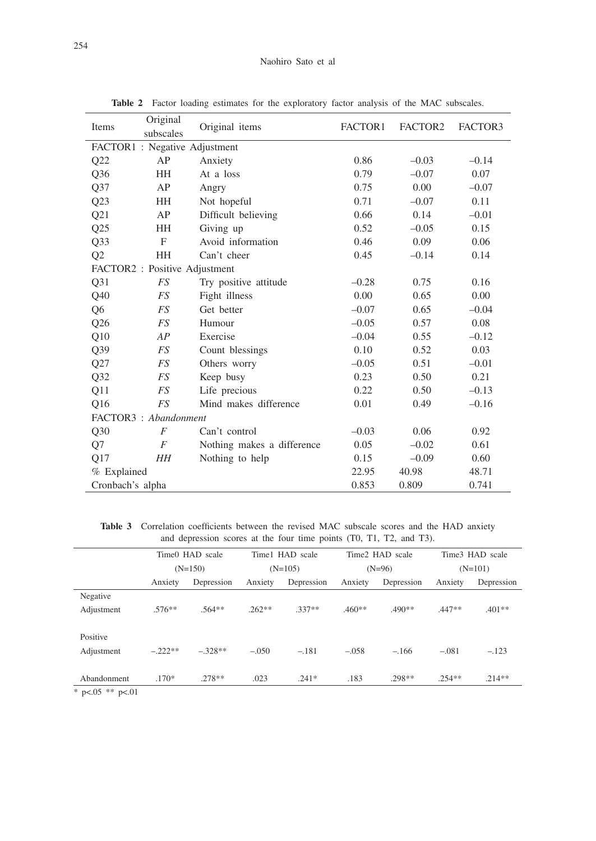### Naohiro Sato et al

| Items                         | Original<br>subscales | Original items             | FACTOR1 | FACTOR2 | FACTOR3 |  |  |  |
|-------------------------------|-----------------------|----------------------------|---------|---------|---------|--|--|--|
| FACTOR1 : Negative Adjustment |                       |                            |         |         |         |  |  |  |
| Q22                           | AP                    | Anxiety                    | 0.86    | $-0.03$ | $-0.14$ |  |  |  |
| Q <sub>36</sub>               | <b>HH</b>             | At a loss                  | 0.79    | $-0.07$ | 0.07    |  |  |  |
| Q37                           | AP                    | Angry                      | 0.75    | 0.00    | $-0.07$ |  |  |  |
| Q23                           | <b>HH</b>             | Not hopeful                | 0.71    | $-0.07$ | 0.11    |  |  |  |
| Q21                           | AP                    | Difficult believing        | 0.66    | 0.14    | $-0.01$ |  |  |  |
| Q25                           | HH                    | Giving up                  | 0.52    | $-0.05$ | 0.15    |  |  |  |
| Q <sub>3</sub> 3              | $\mathbf{F}$          | Avoid information          | 0.46    | 0.09    | 0.06    |  |  |  |
| Q <sub>2</sub>                | HH                    | Can't cheer                | 0.45    | $-0.14$ | 0.14    |  |  |  |
| FACTOR2 : Positive Adjustment |                       |                            |         |         |         |  |  |  |
| Q31                           | <b>FS</b>             | Try positive attitude      | $-0.28$ | 0.75    | 0.16    |  |  |  |
| Q40                           | <b>FS</b>             | Fight illness              | 0.00    | 0.65    | 0.00    |  |  |  |
| Q6                            | <b>FS</b>             | Get better                 | $-0.07$ | 0.65    | $-0.04$ |  |  |  |
| Q26                           | <b>FS</b>             | Humour                     | $-0.05$ | 0.57    | 0.08    |  |  |  |
| Q10                           | AP                    | Exercise                   | $-0.04$ | 0.55    | $-0.12$ |  |  |  |
| Q39                           | <b>FS</b>             | Count blessings            | 0.10    | 0.52    | 0.03    |  |  |  |
| Q27                           | <b>FS</b>             | Others worry               | $-0.05$ | 0.51    | $-0.01$ |  |  |  |
| Q <sub>32</sub>               | <b>FS</b>             | Keep busy                  | 0.23    | 0.50    | 0.21    |  |  |  |
| Q11                           | FS                    | Life precious              | 0.22    | 0.50    | $-0.13$ |  |  |  |
| Q16                           | <b>FS</b>             | Mind makes difference      | 0.01    | 0.49    | $-0.16$ |  |  |  |
| FACTOR3: Abandonment          |                       |                            |         |         |         |  |  |  |
| Q30                           | F                     | Can't control              | $-0.03$ | 0.06    | 0.92    |  |  |  |
| Q7                            | $\overline{F}$        | Nothing makes a difference | 0.05    | $-0.02$ | 0.61    |  |  |  |
| Q17                           | HН                    | Nothing to help            | 0.15    | $-0.09$ | 0.60    |  |  |  |
| % Explained                   |                       |                            | 22.95   | 40.98   | 48.71   |  |  |  |
| Cronbach's alpha              |                       |                            | 0.853   | 0.809   | 0.741   |  |  |  |

**Table 2** Factor loading estimates for the exploratory factor analysis of the MAC subscales.

**Table 3** Correlation coefficients between the revised MAC subscale scores and the HAD anxiety and depression scores at the four time points (T0, T1, T2, and T3).

|                      | Time0 HAD scale<br>$(N=150)$ |            | Time1 HAD scale<br>$(N=105)$ |            | Time2 HAD scale<br>$(N=96)$ |            | Time3 HAD scale<br>$(N=101)$ |            |
|----------------------|------------------------------|------------|------------------------------|------------|-----------------------------|------------|------------------------------|------------|
|                      |                              |            |                              |            |                             |            |                              |            |
|                      | Anxiety                      | Depression | Anxiety                      | Depression | Anxiety                     | Depression | Anxiety                      | Depression |
| Negative             |                              |            |                              |            |                             |            |                              |            |
| Adjustment           | $.576**$                     | $.564**$   | $.262**$                     | .337**     | .460**                      | $.490**$   | .447**                       | $.401**$   |
|                      |                              |            |                              |            |                             |            |                              |            |
| Positive             |                              |            |                              |            |                             |            |                              |            |
| Adjustment           | $-.222**$                    | $-.328**$  | $-.050$                      | $-.181$    | $-.058$                     | $-.166$    | $-.081$                      | $-.123$    |
|                      |                              |            |                              |            |                             |            |                              |            |
| Abandonment          | $.170*$                      | $.278**$   | .023                         | $.241*$    | .183                        | .298**     | $.254**$                     | $.214**$   |
| * $p<.05$ ** $p<.01$ |                              |            |                              |            |                             |            |                              |            |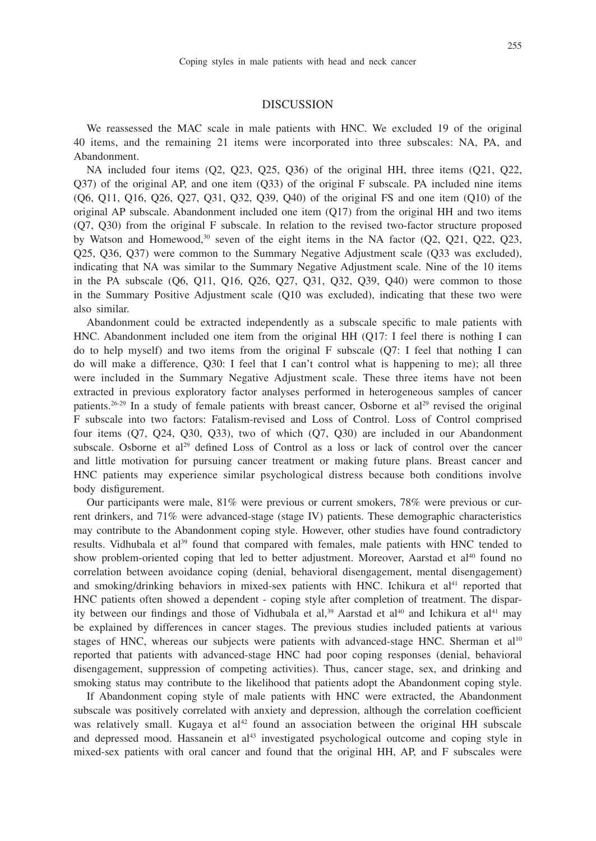## DISCUSSION

We reassessed the MAC scale in male patients with HNC. We excluded 19 of the original 40 items, and the remaining 21 items were incorporated into three subscales: NA, PA, and Abandonment.

NA included four items (Q2, Q23, Q25, Q36) of the original HH, three items (Q21, Q22, Q37) of the original AP, and one item (Q33) of the original F subscale. PA included nine items (Q6, Q11, Q16, Q26, Q27, Q31, Q32, Q39, Q40) of the original FS and one item (Q10) of the original AP subscale. Abandonment included one item (Q17) from the original HH and two items (Q7, Q30) from the original F subscale. In relation to the revised two-factor structure proposed by Watson and Homewood, $30$  seven of the eight items in the NA factor  $(O2, O21, O22, O23,$ Q25, Q36, Q37) were common to the Summary Negative Adjustment scale (Q33 was excluded), indicating that NA was similar to the Summary Negative Adjustment scale. Nine of the 10 items in the PA subscale (Q6, Q11, Q16, Q26, Q27, Q31, Q32, Q39, Q40) were common to those in the Summary Positive Adjustment scale (Q10 was excluded), indicating that these two were also similar.

Abandonment could be extracted independently as a subscale specific to male patients with HNC. Abandonment included one item from the original HH (Q17: I feel there is nothing I can do to help myself) and two items from the original F subscale (Q7: I feel that nothing I can do will make a difference, Q30: I feel that I can't control what is happening to me); all three were included in the Summary Negative Adjustment scale. These three items have not been extracted in previous exploratory factor analyses performed in heterogeneous samples of cancer patients.<sup>26-29</sup> In a study of female patients with breast cancer, Osborne et al<sup>29</sup> revised the original F subscale into two factors: Fatalism-revised and Loss of Control. Loss of Control comprised four items (Q7, Q24, Q30, Q33), two of which (Q7, Q30) are included in our Abandonment subscale. Osborne et al<sup>29</sup> defined Loss of Control as a loss or lack of control over the cancer and little motivation for pursuing cancer treatment or making future plans. Breast cancer and HNC patients may experience similar psychological distress because both conditions involve body disfigurement.

Our participants were male, 81% were previous or current smokers, 78% were previous or current drinkers, and 71% were advanced-stage (stage IV) patients. These demographic characteristics may contribute to the Abandonment coping style. However, other studies have found contradictory results. Vidhubala et al<sup>39</sup> found that compared with females, male patients with HNC tended to show problem-oriented coping that led to better adjustment. Moreover, Aarstad et al<sup>40</sup> found no correlation between avoidance coping (denial, behavioral disengagement, mental disengagement) and smoking/drinking behaviors in mixed-sex patients with HNC. Ichikura et al<sup>41</sup> reported that HNC patients often showed a dependent - coping style after completion of treatment. The disparity between our findings and those of Vidhubala et al,<sup>39</sup> Aarstad et al<sup>40</sup> and Ichikura et al<sup>41</sup> may be explained by differences in cancer stages. The previous studies included patients at various stages of HNC, whereas our subjects were patients with advanced-stage HNC. Sherman et al<sup>10</sup> reported that patients with advanced-stage HNC had poor coping responses (denial, behavioral disengagement, suppression of competing activities). Thus, cancer stage, sex, and drinking and smoking status may contribute to the likelihood that patients adopt the Abandonment coping style.

If Abandonment coping style of male patients with HNC were extracted, the Abandonment subscale was positively correlated with anxiety and depression, although the correlation coefficient was relatively small. Kugaya et  $al<sup>42</sup>$  found an association between the original HH subscale and depressed mood. Hassanein et al<sup>43</sup> investigated psychological outcome and coping style in mixed-sex patients with oral cancer and found that the original HH, AP, and F subscales were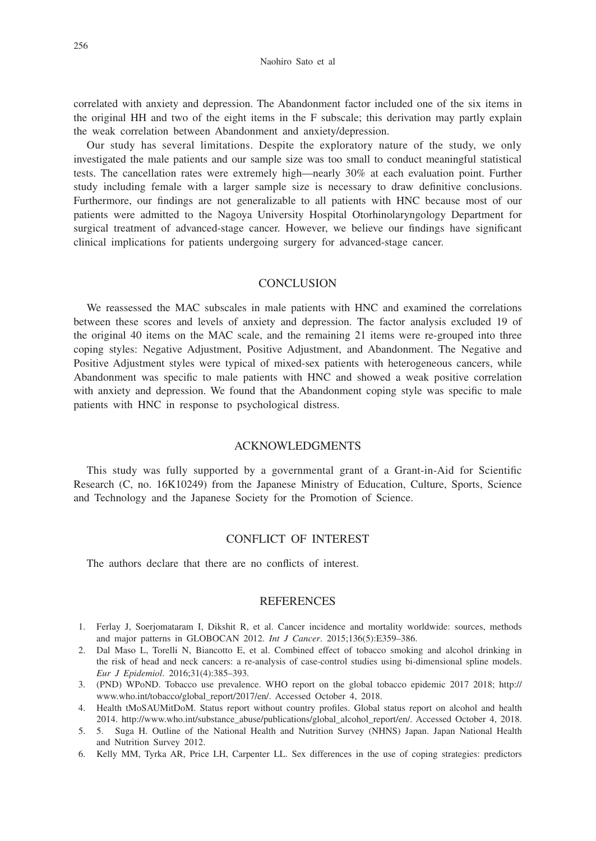correlated with anxiety and depression. The Abandonment factor included one of the six items in the original HH and two of the eight items in the F subscale; this derivation may partly explain the weak correlation between Abandonment and anxiety/depression.

Our study has several limitations. Despite the exploratory nature of the study, we only investigated the male patients and our sample size was too small to conduct meaningful statistical tests. The cancellation rates were extremely high—nearly 30% at each evaluation point. Further study including female with a larger sample size is necessary to draw definitive conclusions. Furthermore, our findings are not generalizable to all patients with HNC because most of our patients were admitted to the Nagoya University Hospital Otorhinolaryngology Department for surgical treatment of advanced-stage cancer. However, we believe our findings have significant clinical implications for patients undergoing surgery for advanced-stage cancer.

#### **CONCLUSION**

We reassessed the MAC subscales in male patients with HNC and examined the correlations between these scores and levels of anxiety and depression. The factor analysis excluded 19 of the original 40 items on the MAC scale, and the remaining 21 items were re-grouped into three coping styles: Negative Adjustment, Positive Adjustment, and Abandonment. The Negative and Positive Adjustment styles were typical of mixed-sex patients with heterogeneous cancers, while Abandonment was specific to male patients with HNC and showed a weak positive correlation with anxiety and depression. We found that the Abandonment coping style was specific to male patients with HNC in response to psychological distress.

## ACKNOWLEDGMENTS

This study was fully supported by a governmental grant of a Grant-in-Aid for Scientific Research (C, no. 16K10249) from the Japanese Ministry of Education, Culture, Sports, Science and Technology and the Japanese Society for the Promotion of Science.

## CONFLICT OF INTEREST

The authors declare that there are no conflicts of interest.

## **REFERENCES**

- 1. Ferlay J, Soerjomataram I, Dikshit R, et al. Cancer incidence and mortality worldwide: sources, methods and major patterns in GLOBOCAN 2012. *Int J Cancer*. 2015;136(5):E359–386.
- 2. Dal Maso L, Torelli N, Biancotto E, et al. Combined effect of tobacco smoking and alcohol drinking in the risk of head and neck cancers: a re-analysis of case-control studies using bi-dimensional spline models. *Eur J Epidemiol*. 2016;31(4):385–393.
- 3. (PND) WPoND. Tobacco use prevalence. WHO report on the global tobacco epidemic 2017 2018; http:// www.who.int/tobacco/global\_report/2017/en/. Accessed October 4, 2018.
- 4. Health tMoSAUMitDoM. Status report without country profiles. Global status report on alcohol and health 2014. http://www.who.int/substance\_abuse/publications/global\_alcohol\_report/en/. Accessed October 4, 2018.
- 5. 5. Suga H. Outline of the National Health and Nutrition Survey (NHNS) Japan. Japan National Health and Nutrition Survey 2012.
- 6. Kelly MM, Tyrka AR, Price LH, Carpenter LL. Sex differences in the use of coping strategies: predictors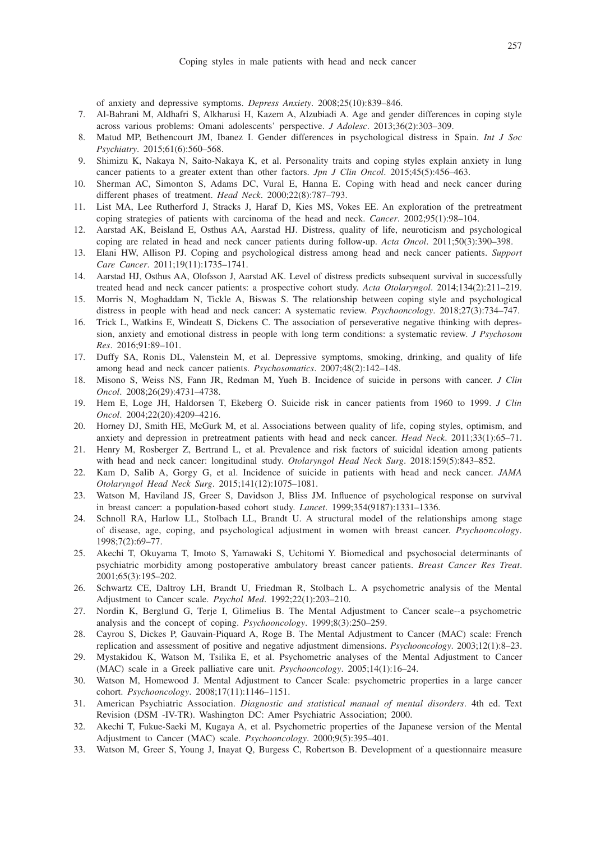of anxiety and depressive symptoms. *Depress Anxiety*. 2008;25(10):839–846.

- 7. Al-Bahrani M, Aldhafri S, Alkharusi H, Kazem A, Alzubiadi A. Age and gender differences in coping style across various problems: Omani adolescents' perspective. *J Adolesc*. 2013;36(2):303–309.
- 8. Matud MP, Bethencourt JM, Ibanez I. Gender differences in psychological distress in Spain. *Int J Soc Psychiatry*. 2015;61(6):560–568.
- 9. Shimizu K, Nakaya N, Saito-Nakaya K, et al. Personality traits and coping styles explain anxiety in lung cancer patients to a greater extent than other factors. *Jpn J Clin Oncol*. 2015;45(5):456–463.
- 10. Sherman AC, Simonton S, Adams DC, Vural E, Hanna E. Coping with head and neck cancer during different phases of treatment. *Head Neck*. 2000;22(8):787–793.
- 11. List MA, Lee Rutherford J, Stracks J, Haraf D, Kies MS, Vokes EE. An exploration of the pretreatment coping strategies of patients with carcinoma of the head and neck. *Cancer*. 2002;95(1):98–104.
- 12. Aarstad AK, Beisland E, Osthus AA, Aarstad HJ. Distress, quality of life, neuroticism and psychological coping are related in head and neck cancer patients during follow-up. *Acta Oncol*. 2011;50(3):390–398.
- 13. Elani HW, Allison PJ. Coping and psychological distress among head and neck cancer patients. *Support Care Cancer*. 2011;19(11):1735–1741.
- 14. Aarstad HJ, Osthus AA, Olofsson J, Aarstad AK. Level of distress predicts subsequent survival in successfully treated head and neck cancer patients: a prospective cohort study. *Acta Otolaryngol*. 2014;134(2):211–219.
- 15. Morris N, Moghaddam N, Tickle A, Biswas S. The relationship between coping style and psychological distress in people with head and neck cancer: A systematic review. *Psychooncology*. 2018;27(3):734–747.
- 16. Trick L, Watkins E, Windeatt S, Dickens C. The association of perseverative negative thinking with depression, anxiety and emotional distress in people with long term conditions: a systematic review. *J Psychosom Res*. 2016;91:89–101.
- 17. Duffy SA, Ronis DL, Valenstein M, et al. Depressive symptoms, smoking, drinking, and quality of life among head and neck cancer patients. *Psychosomatics*. 2007;48(2):142–148.
- 18. Misono S, Weiss NS, Fann JR, Redman M, Yueh B. Incidence of suicide in persons with cancer. *J Clin Oncol*. 2008;26(29):4731–4738.
- 19. Hem E, Loge JH, Haldorsen T, Ekeberg O. Suicide risk in cancer patients from 1960 to 1999. *J Clin Oncol*. 2004;22(20):4209–4216.
- 20. Horney DJ, Smith HE, McGurk M, et al. Associations between quality of life, coping styles, optimism, and anxiety and depression in pretreatment patients with head and neck cancer. *Head Neck*. 2011;33(1):65–71.
- 21. Henry M, Rosberger Z, Bertrand L, et al. Prevalence and risk factors of suicidal ideation among patients with head and neck cancer: longitudinal study. *Otolaryngol Head Neck Surg*. 2018:159(5):843–852.
- 22. Kam D, Salib A, Gorgy G, et al. Incidence of suicide in patients with head and neck cancer. *JAMA Otolaryngol Head Neck Surg*. 2015;141(12):1075–1081.
- 23. Watson M, Haviland JS, Greer S, Davidson J, Bliss JM. Influence of psychological response on survival in breast cancer: a population-based cohort study. *Lancet*. 1999;354(9187):1331–1336.
- 24. Schnoll RA, Harlow LL, Stolbach LL, Brandt U. A structural model of the relationships among stage of disease, age, coping, and psychological adjustment in women with breast cancer. *Psychooncology*. 1998;7(2):69–77.
- 25. Akechi T, Okuyama T, Imoto S, Yamawaki S, Uchitomi Y. Biomedical and psychosocial determinants of psychiatric morbidity among postoperative ambulatory breast cancer patients. *Breast Cancer Res Treat*. 2001;65(3):195–202.
- 26. Schwartz CE, Daltroy LH, Brandt U, Friedman R, Stolbach L. A psychometric analysis of the Mental Adjustment to Cancer scale. *Psychol Med*. 1992;22(1):203–210.
- 27. Nordin K, Berglund G, Terje I, Glimelius B. The Mental Adjustment to Cancer scale--a psychometric analysis and the concept of coping. *Psychooncology*. 1999;8(3):250–259.
- 28. Cayrou S, Dickes P, Gauvain-Piquard A, Roge B. The Mental Adjustment to Cancer (MAC) scale: French replication and assessment of positive and negative adjustment dimensions. *Psychooncology*. 2003;12(1):8–23.
- 29. Mystakidou K, Watson M, Tsilika E, et al. Psychometric analyses of the Mental Adjustment to Cancer (MAC) scale in a Greek palliative care unit. *Psychooncology*. 2005;14(1):16–24.
- 30. Watson M, Homewood J. Mental Adjustment to Cancer Scale: psychometric properties in a large cancer cohort. *Psychooncology*. 2008;17(11):1146–1151.
- 31. American Psychiatric Association. *Diagnostic and statistical manual of mental disorders*. 4th ed. Text Revision (DSM -IV-TR). Washington DC: Amer Psychiatric Association; 2000.
- 32. Akechi T, Fukue-Saeki M, Kugaya A, et al. Psychometric properties of the Japanese version of the Mental Adjustment to Cancer (MAC) scale. *Psychooncology*. 2000;9(5):395–401.
- 33. Watson M, Greer S, Young J, Inayat Q, Burgess C, Robertson B. Development of a questionnaire measure